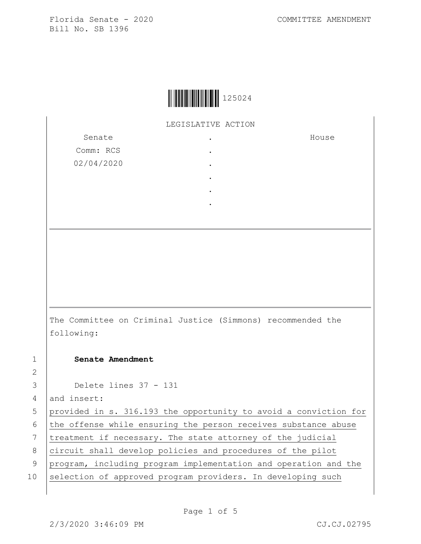

LEGISLATIVE ACTION

Senate Comm: RCS 02/04/2020 . . . . . . House The Committee on Criminal Justice (Simmons) recommended the following: 1 **Senate Amendment**  3 Delete lines 37 - 131 4 and insert: 5 provided in s. 316.193 the opportunity to avoid a conviction for 6 the offense while ensuring the person receives substance abuse 7 treatment if necessary. The state attorney of the judicial 8 circuit shall develop policies and procedures of the pilot 9 program, including program implementation and operation and the 10 selection of approved program providers. In developing such

2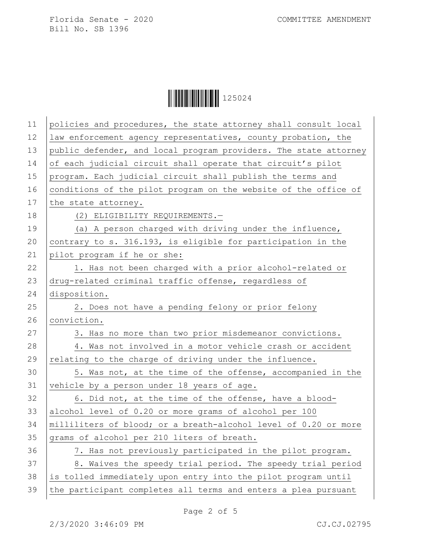Ì125024rÎ125024

| 11 | policies and procedures, the state attorney shall consult local  |
|----|------------------------------------------------------------------|
| 12 | law enforcement agency representatives, county probation, the    |
| 13 | public defender, and local program providers. The state attorney |
| 14 | of each judicial circuit shall operate that circuit's pilot      |
| 15 | program. Each judicial circuit shall publish the terms and       |
| 16 | conditions of the pilot program on the website of the office of  |
| 17 | the state attorney.                                              |
| 18 | (2) ELIGIBILITY REQUIREMENTS.-                                   |
| 19 | (a) A person charged with driving under the influence,           |
| 20 | contrary to s. 316.193, is eligible for participation in the     |
| 21 | pilot program if he or she:                                      |
| 22 | 1. Has not been charged with a prior alcohol-related or          |
| 23 | drug-related criminal traffic offense, regardless of             |
| 24 | disposition.                                                     |
| 25 | 2. Does not have a pending felony or prior felony                |
| 26 | conviction.                                                      |
| 27 | 3. Has no more than two prior misdemeanor convictions.           |
| 28 | 4. Was not involved in a motor vehicle crash or accident         |
| 29 | relating to the charge of driving under the influence.           |
| 30 | 5. Was not, at the time of the offense, accompanied in the       |
| 31 | vehicle by a person under 18 years of age.                       |
| 32 | 6. Did not, at the time of the offense, have a blood-            |
| 33 | alcohol level of 0.20 or more grams of alcohol per 100           |
| 34 | milliliters of blood; or a breath-alcohol level of 0.20 or more  |
| 35 | grams of alcohol per 210 liters of breath.                       |
| 36 | 7. Has not previously participated in the pilot program.         |
| 37 | 8. Waives the speedy trial period. The speedy trial period       |
| 38 | is tolled immediately upon entry into the pilot program until    |
| 39 | the participant completes all terms and enters a plea pursuant   |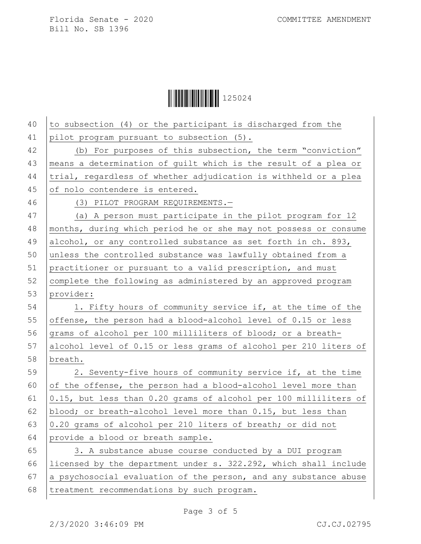Ì125024rÎ125024

| 40 | to subsection (4) or the participant is discharged from the      |
|----|------------------------------------------------------------------|
| 41 | pilot program pursuant to subsection (5).                        |
| 42 | (b) For purposes of this subsection, the term "conviction"       |
| 43 | means a determination of guilt which is the result of a plea or  |
| 44 | trial, regardless of whether adjudication is withheld or a plea  |
| 45 | of nolo contendere is entered.                                   |
| 46 | (3) PILOT PROGRAM REQUIREMENTS.-                                 |
| 47 | (a) A person must participate in the pilot program for 12        |
| 48 | months, during which period he or she may not possess or consume |
| 49 | alcohol, or any controlled substance as set forth in ch. 893,    |
| 50 | unless the controlled substance was lawfully obtained from a     |
| 51 | practitioner or pursuant to a valid prescription, and must       |
| 52 | complete the following as administered by an approved program    |
| 53 | provider:                                                        |
| 54 | 1. Fifty hours of community service if, at the time of the       |
| 55 | offense, the person had a blood-alcohol level of 0.15 or less    |
| 56 | grams of alcohol per 100 milliliters of blood; or a breath-      |
| 57 | alcohol level of 0.15 or less grams of alcohol per 210 liters of |
| 58 | breath.                                                          |
| 59 | 2. Seventy-five hours of community service if, at the time       |
| 60 | of the offense, the person had a blood-alcohol level more than   |
| 61 | 0.15, but less than 0.20 grams of alcohol per 100 milliliters of |
| 62 | blood; or breath-alcohol level more than 0.15, but less than     |
| 63 | 0.20 grams of alcohol per 210 liters of breath; or did not       |
| 64 | provide a blood or breath sample.                                |
| 65 | 3. A substance abuse course conducted by a DUI program           |
| 66 | licensed by the department under s. 322.292, which shall include |
| 67 | a psychosocial evaluation of the person, and any substance abuse |
| 68 | treatment recommendations by such program.                       |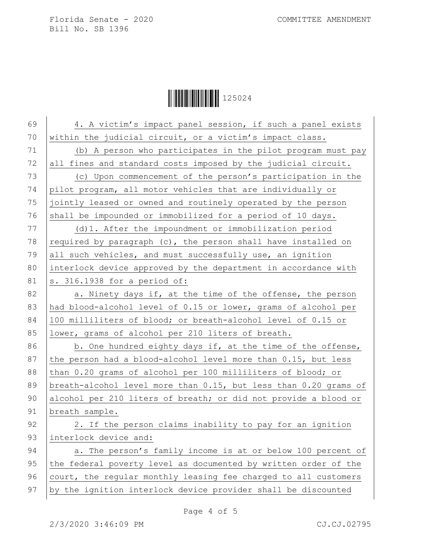**|| || || || || || || || || || || || ||** 125024

69 4. A victim's impact panel session, if such a panel exists 70  $\vert$  within the judicial circuit, or a victim's impact class. 71 (b) A person who participates in the pilot program must pay  $72$  all fines and standard costs imposed by the judicial circuit. 73 (c) Upon commencement of the person's participation in the 74 pilot program, all motor vehicles that are individually or 75 jointly leased or owned and routinely operated by the person 76 shall be impounded or immobilized for a period of 10 days. 77 (d)1. After the impoundment or immobilization period 78 required by paragraph (c), the person shall have installed on 79 all such vehicles, and must successfully use, an ignition 80 interlock device approved by the department in accordance with 81  $\vert$  s. 316.1938 for a period of: 82 | a. Ninety days if, at the time of the offense, the person 83 had blood-alcohol level of 0.15 or lower, grams of alcohol per 84 100 milliliters of blood; or breath-alcohol level of 0.15 or 85 lower, grams of alcohol per 210 liters of breath. 86 b. One hundred eighty days if, at the time of the offense, 87 the person had a blood-alcohol level more than  $0.15$ , but less 88 than 0.20 grams of alcohol per 100 milliliters of blood; or 89 breath-alcohol level more than 0.15, but less than 0.20 grams of 90 alcohol per 210 liters of breath; or did not provide a blood or 91 breath sample. 92 | 2. If the person claims inability to pay for an ignition 93 interlock device and: 94 a. The person's family income is at or below 100 percent of 95 the federal poverty level as documented by written order of the 96 court, the regular monthly leasing fee charged to all customers 97 | by the ignition interlock device provider shall be discounted

Page 4 of 5